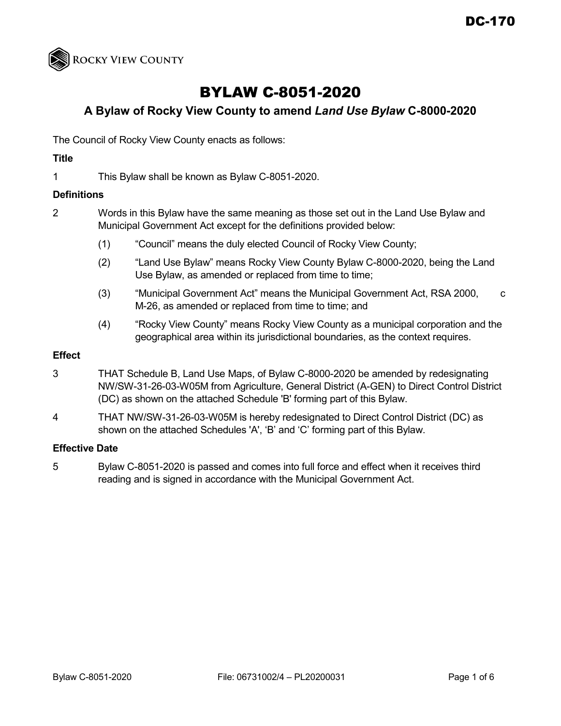

# BYLAW C-8051-2020

# **A Bylaw of Rocky View County to amend** *Land Use Bylaw* **C-8000-2020**

The Council of Rocky View County enacts as follows:

# **Title**

1 This Bylaw shall be known as Bylaw C-8051-2020.

#### **Definitions**

- 2 Words in this Bylaw have the same meaning as those set out in the Land Use Bylaw and Municipal Government Act except for the definitions provided below:
	- (1) "Council" means the duly elected Council of Rocky View County;
	- (2) "Land Use Bylaw" means Rocky View County Bylaw C-8000-2020, being the Land Use Bylaw, as amended or replaced from time to time;
	- (3) "Municipal Government Act" means the Municipal Government Act, RSA 2000, c M-26, as amended or replaced from time to time; and
	- (4) "Rocky View County" means Rocky View County as a municipal corporation and the geographical area within its jurisdictional boundaries, as the context requires.

#### **Effect**

- 3 THAT Schedule B, Land Use Maps, of Bylaw C-8000-2020 be amended by redesignating NW/SW-31-26-03-W05M from Agriculture, General District (A-GEN) to Direct Control District (DC) as shown on the attached Schedule 'B' forming part of this Bylaw.
- 4 THAT NW/SW-31-26-03-W05M is hereby redesignated to Direct Control District (DC) as shown on the attached Schedules 'A', 'B' and 'C' forming part of this Bylaw.

# **Effective Date**

5 Bylaw C-8051-2020 is passed and comes into full force and effect when it receives third reading and is signed in accordance with the Municipal Government Act.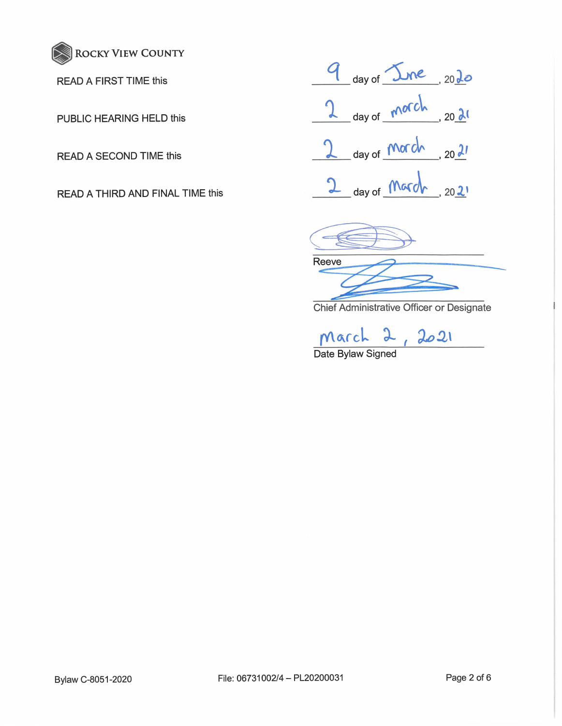

READ A FIRST TIME this

PUBLIC HEARING HELD this

READ A SECOND TIME this

READ A THIRD AND FINAL TIME this

<u>*g*</u> day of <u>June</u>, 20 <u>Jo</u> 2 day of  $\frac{\sqrt{666}}{20 - \frac{20}{26}}$ **1 J\_**  day of **Morch**  $20$   $21$ day of **March**, 20 2'

**Reeve** 

Chief Administrative Officer or Designate

March 2, 2021

Date Bylaw Signed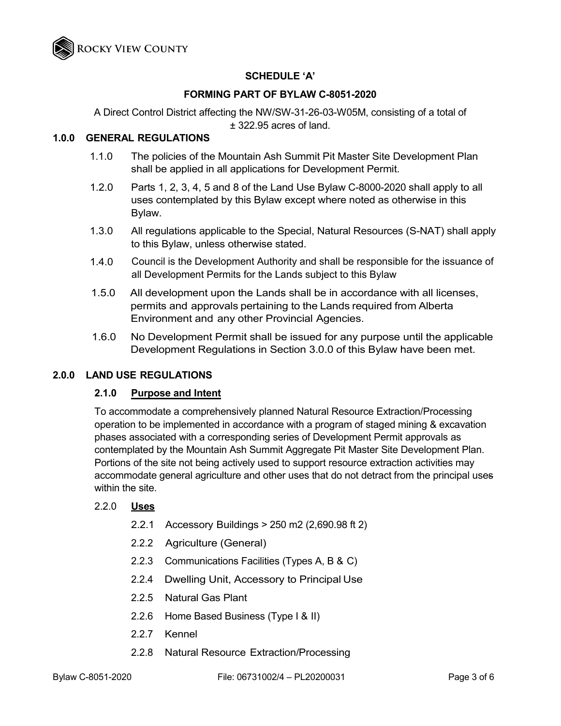

# **SCHEDULE 'A'**

#### **FORMING PART OF BYLAW C-8051-2020**

A Direct Control District affecting the NW/SW-31-26-03-W05M, consisting of a total of ± 322.95 acres of land.

# **1.0.0 GENERAL REGULATIONS**

- 1.1.0 The policies of the Mountain Ash Summit Pit Master Site Development Plan shall be applied in all applications for Development Permit.
- 1.2.0 Parts 1, 2, 3, 4, 5 and 8 of the Land Use Bylaw C-8000-2020 shall apply to all uses contemplated by this Bylaw except where noted as otherwise in this Bylaw.
- 1.3.0 All regulations applicable to the Special, Natural Resources (S-NAT) shall apply to this Bylaw, unless otherwise stated.
- 1.4.0 Council is the Development Authority and shall be responsible for the issuance of all Development Permits for the Lands subject to this Bylaw
- 1.5.0 All development upon the Lands shall be in accordance with all licenses, permits and approvals pertaining to the Lands required from Alberta Environment and any other Provincial Agencies.
- 1.6.0 No Development Permit shall be issued for any purpose until the applicable Development Regulations in Section 3.0.0 of this Bylaw have been met.

#### **2.0.0 LAND USE REGULATIONS**

#### **2.1.0 Purpose and Intent**

To accommodate a comprehensively planned Natural Resource Extraction/Processing operation to be implemented in accordance with a program of staged mining & excavation phases associated with a corresponding series of Development Permit approvals as contemplated by the Mountain Ash Summit Aggregate Pit Master Site Development Plan. Portions of the site not being actively used to support resource extraction activities may accommodate general agriculture and other uses that do not detract from the principal uses within the site.

#### 2.2.0 **Uses**

- 2.2.1 Accessory Buildings > 250 m2 (2,690.98 ft 2)
- 2.2.2 Agriculture (General)
- 2.2.3 Communications Facilities (Types A, B & C)
- 2.2.4 Dwelling Unit, Accessory to Principal Use
- 2.2.5 Natural Gas Plant
- 2.2.6 Home Based Business (Type I & II)
- 2.2.7 Kennel
- 2.2.8 Natural Resource Extraction/Processing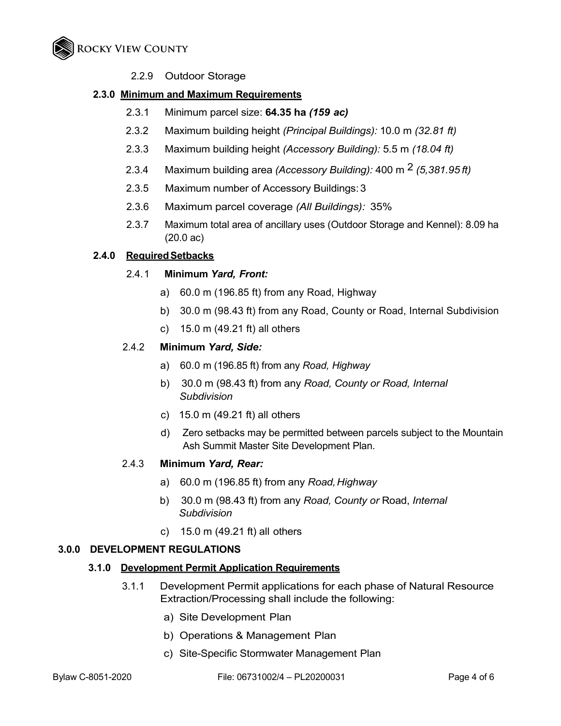

2.2.9 Outdoor Storage

### **2.3.0 Minimum and Maximum Requirements**

- 2.3.1 Minimum parcel size: **64.35 ha** *(159 ac)*
- 2.3.2 Maximum building height *(Principal Buildings):* 10.0 m *(32.81 ft)*
- 2.3.3 Maximum building height *(Accessory Building):* 5.5 m *(18.04 ft)*
- 2.3.4 Maximum building area *(Accessory Building):* 400 m 2 *(5,381.95 ft)*
- 2.3.5 Maximum number of Accessory Buildings: 3
- 2.3.6 Maximum parcel coverage *(All Buildings):* 35%
- 2.3.7 Maximum total area of ancillary uses (Outdoor Storage and Kennel): 8.09 ha (20.0 ac)

#### **2.4.0 RequiredSetbacks**

#### 2.4. 1 **Minimum** *Yard, Front:*

- a) 60.0 m (196.85 ft) from any Road, Highway
- b) 30.0 m (98.43 ft) from any Road, County or Road, Internal Subdivision
- c) 15.0 m (49.21 ft) all others

#### 2.4.2 **Minimum** *Yard, Side:*

- a) 60.0 m (196.85 ft) from any *Road, Highway*
- b) 30.0 m (98.43 ft) from any *Road, County or Road, Internal Subdivision*
- c) 15.0 m (49.21 ft) all others
- d) Zero setbacks may be permitted between parcels subject to the Mountain Ash Summit Master Site Development Plan.

#### 2.4.3 **Minimum** *Yard, Rear:*

- a) 60.0 m (196.85 ft) from any *Road,Highway*
- b) 30.0 m (98.43 ft) from any *Road, County or* Road, *Internal Subdivision*
- c) 15.0 m (49.21 ft) all others

#### **3.0.0 DEVELOPMENT REGULATIONS**

#### **3.1.0 Development Permit Application Requirements**

- 3.1.1 Development Permit applications for each phase of Natural Resource Extraction/Processing shall include the following:
	- a) Site Development Plan
	- b) Operations & Management Plan
	- c) Site-Specific Stormwater Management Plan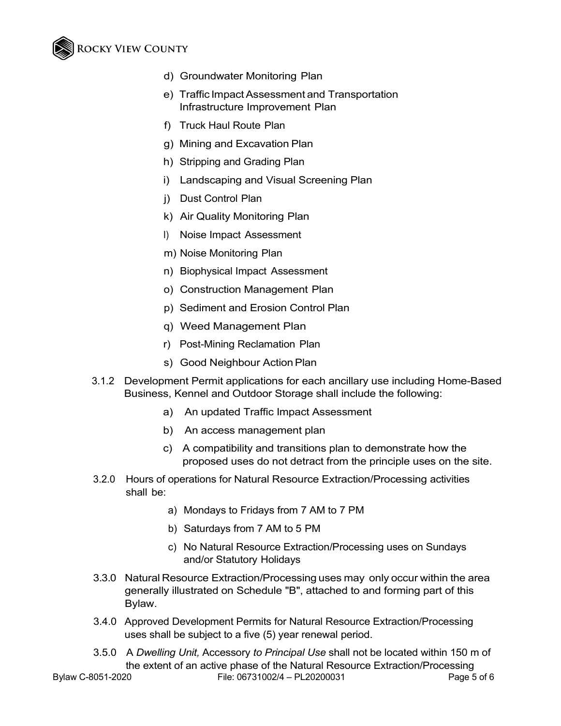# **ROCKY VIEW COUNTY**

- d) Groundwater Monitoring Plan
- e) Traffic Impact Assessment and Transportation Infrastructure Improvement Plan
- f) Truck Haul Route Plan
- g) Mining and Excavation Plan
- h) Stripping and Grading Plan
- i) Landscaping and Visual Screening Plan
- j) Dust Control Plan
- k) Air Quality Monitoring Plan
- I) Noise Impact Assessment
- m) Noise Monitoring Plan
- n) Biophysical Impact Assessment
- o) Construction Management Plan
- p) Sediment and Erosion Control Plan
- q) Weed Management Plan
- r) Post-Mining Reclamation Plan
- s) Good Neighbour Action Plan
- 3.1.2 Development Permit applications for each ancillary use including Home-Based Business, Kennel and Outdoor Storage shall include the following:
	- a) An updated Traffic Impact Assessment
	- b) An access management plan
	- c) A compatibility and transitions plan to demonstrate how the proposed uses do not detract from the principle uses on the site.
- 3.2.0 Hours of operations for Natural Resource Extraction/Processing activities shall be:
	- a) Mondays to Fridays from 7 AM to 7 PM
	- b) Saturdays from 7 AM to 5 PM
	- c) No Natural Resource Extraction/Processing uses on Sundays and/or Statutory Holidays
- 3.3.0 Natural Resource Extraction/Processing uses may only occur within the area generally illustrated on Schedule "B", attached to and forming part of this Bylaw.
- 3.4.0 Approved Development Permits for Natural Resource Extraction/Processing uses shall be subject to a five (5) year renewal period.
- Bylaw C-8051-2020 File: 06731002/4 PL20200031 Page 5 of 6 3.5.0 A *Dwelling Unit,* Accessory *to Principal Use* shall not be located within 150 m of the extent of an active phase of the Natural Resource Extraction/Processing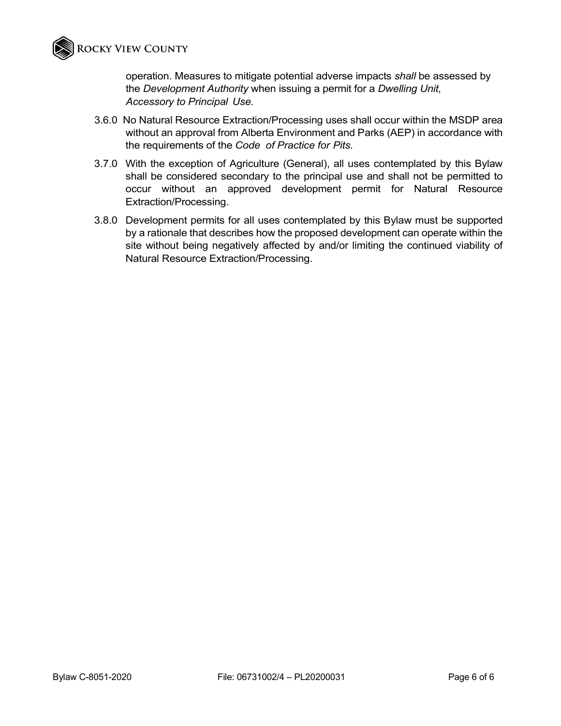

operation. Measures to mitigate potential adverse impacts *shall* be assessed by the *Development Authority* when issuing a permit for a *Dwelling Unit, Accessory to Principal Use.*

- 3.6.0 No Natural Resource Extraction/Processing uses shall occur within the MSDP area without an approval from Alberta Environment and Parks (AEP) in accordance with the requirements of the *Code of Practice for Pits.*
- 3.7.0 With the exception of Agriculture (General), all uses contemplated by this Bylaw shall be considered secondary to the principal use and shall not be permitted to occur without an approved development permit for Natural Resource Extraction/Processing.
- 3.8.0 Development permits for all uses contemplated by this Bylaw must be supported by a rationale that describes how the proposed development can operate within the site without being negatively affected by and/or limiting the continued viability of Natural Resource Extraction/Processing.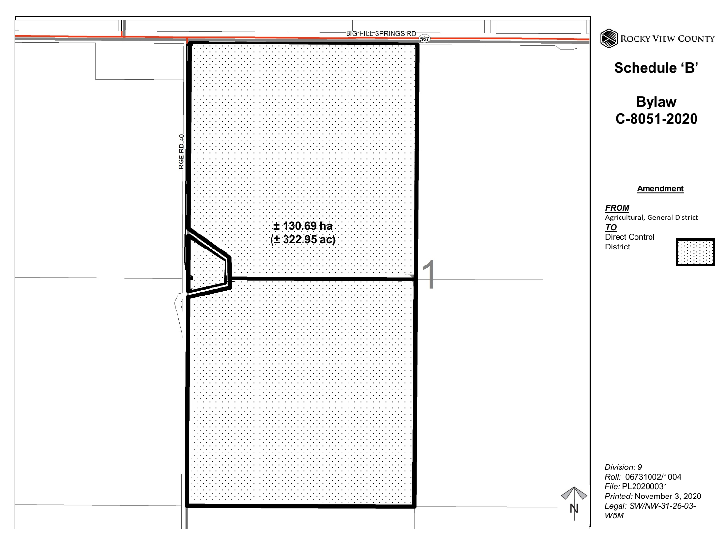